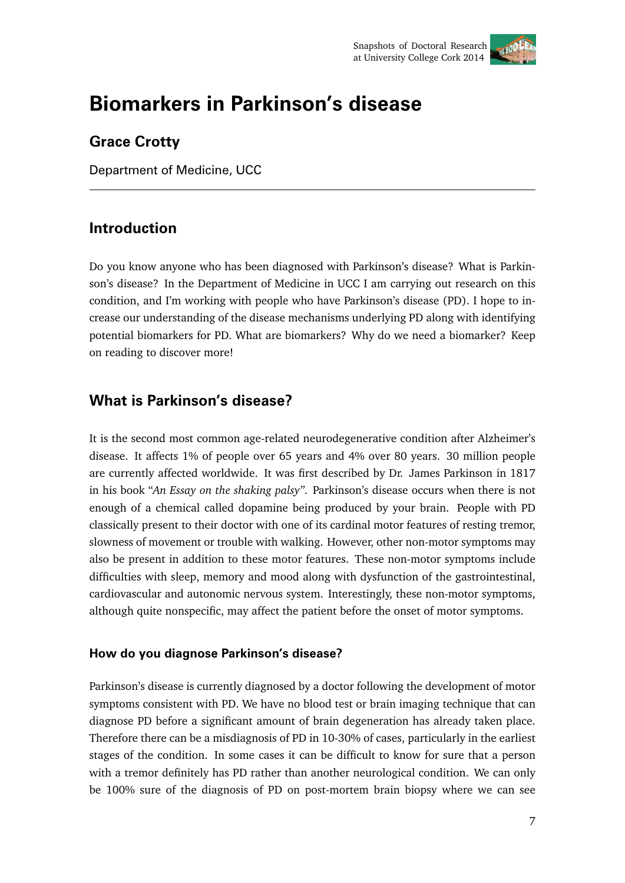

# **Biomarkers in Parkinson's disease**

# **Grace Crotty**

Department of Medicine, UCC

# **Introduction**

Do you know anyone who has been diagnosed with Parkinson's disease? What is Parkinson's disease? In the Department of Medicine in UCC I am carrying out research on this condition, and I'm working with people who have Parkinson's disease (PD). I hope to increase our understanding of the disease mechanisms underlying PD along with identifying potential biomarkers for PD. What are biomarkers? Why do we need a biomarker? Keep on reading to discover more!

# **What is Parkinson's disease?**

It is the second most common age-related neurodegenerative condition after Alzheimer's disease. It affects 1% of people over 65 years and 4% over 80 years. 30 million people are currently affected worldwide. It was first described by Dr. James Parkinson in 1817 in his book "*An Essay on the shaking palsy"*. Parkinson's disease occurs when there is not enough of a chemical called dopamine being produced by your brain. People with PD classically present to their doctor with one of its cardinal motor features of resting tremor, slowness of movement or trouble with walking. However, other non-motor symptoms may also be present in addition to these motor features. These non-motor symptoms include difficulties with sleep, memory and mood along with dysfunction of the gastrointestinal, cardiovascular and autonomic nervous system. Interestingly, these non-motor symptoms, although quite nonspecific, may affect the patient before the onset of motor symptoms.

# **How do you diagnose Parkinson's disease?**

Parkinson's disease is currently diagnosed by a doctor following the development of motor symptoms consistent with PD. We have no blood test or brain imaging technique that can diagnose PD before a significant amount of brain degeneration has already taken place. Therefore there can be a misdiagnosis of PD in 10-30% of cases, particularly in the earliest stages of the condition. In some cases it can be difficult to know for sure that a person with a tremor definitely has PD rather than another neurological condition. We can only be 100% sure of the diagnosis of PD on post-mortem brain biopsy where we can see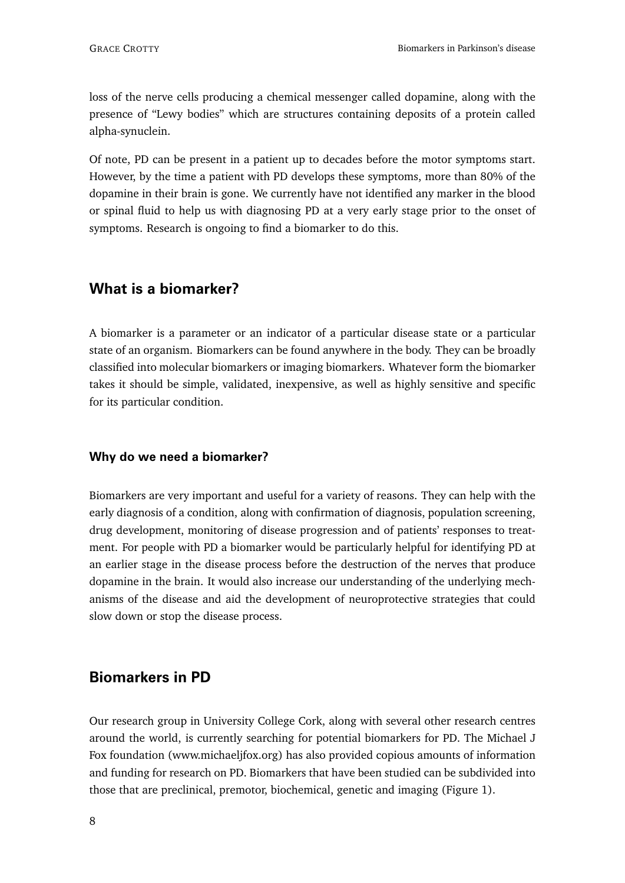loss of the nerve cells producing a chemical messenger called dopamine, along with the presence of "Lewy bodies" which are structures containing deposits of a protein called alpha-synuclein.

Of note, PD can be present in a patient up to decades before the motor symptoms start. However, by the time a patient with PD develops these symptoms, more than 80% of the dopamine in their brain is gone. We currently have not identified any marker in the blood or spinal fluid to help us with diagnosing PD at a very early stage prior to the onset of symptoms. Research is ongoing to find a biomarker to do this.

# **What is a biomarker?**

A biomarker is a parameter or an indicator of a particular disease state or a particular state of an organism. Biomarkers can be found anywhere in the body. They can be broadly classified into molecular biomarkers or imaging biomarkers. Whatever form the biomarker takes it should be simple, validated, inexpensive, as well as highly sensitive and specific for its particular condition.

#### **Why do we need a biomarker?**

Biomarkers are very important and useful for a variety of reasons. They can help with the early diagnosis of a condition, along with confirmation of diagnosis, population screening, drug development, monitoring of disease progression and of patients' responses to treatment. For people with PD a biomarker would be particularly helpful for identifying PD at an earlier stage in the disease process before the destruction of the nerves that produce dopamine in the brain. It would also increase our understanding of the underlying mechanisms of the disease and aid the development of neuroprotective strategies that could slow down or stop the disease process.

# **Biomarkers in PD**

Our research group in University College Cork, along with several other research centres around the world, is currently searching for potential biomarkers for PD. The Michael J Fox foundation (www.michaeljfox.org) has also provided copious amounts of information and funding for research on PD. Biomarkers that have been studied can be subdivided into those that are preclinical, premotor, biochemical, genetic and imaging (Figure 1).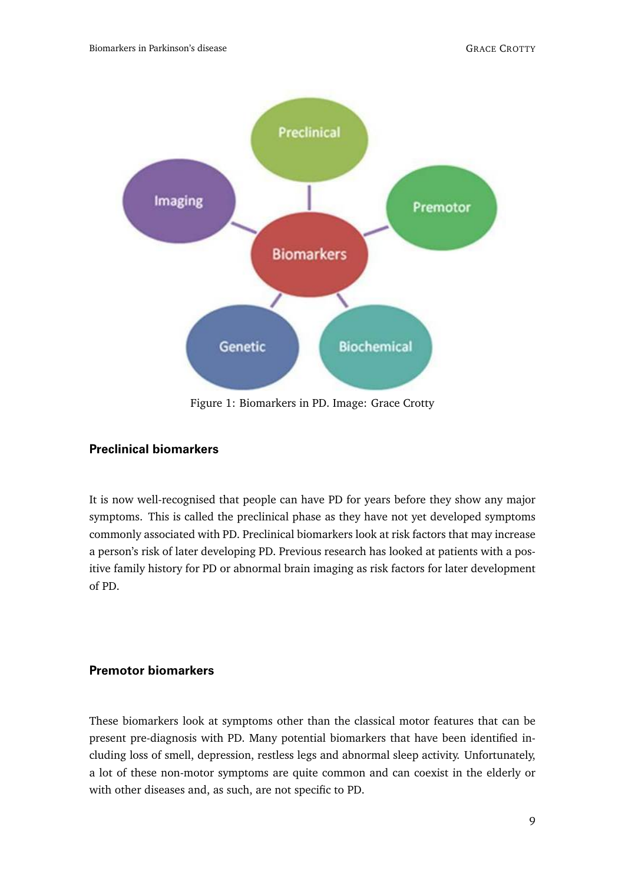

Figure 1: Biomarkers in PD. Image: Grace Crotty

# **Preclinical biomarkers**

It is now well-recognised that people can have PD for years before they show any major symptoms. This is called the preclinical phase as they have not yet developed symptoms commonly associated with PD. Preclinical biomarkers look at risk factors that may increase a person's risk of later developing PD. Previous research has looked at patients with a positive family history for PD or abnormal brain imaging as risk factors for later development of PD.

# **Premotor biomarkers**

These biomarkers look at symptoms other than the classical motor features that can be present pre-diagnosis with PD. Many potential biomarkers that have been identified including loss of smell, depression, restless legs and abnormal sleep activity. Unfortunately, a lot of these non-motor symptoms are quite common and can coexist in the elderly or with other diseases and, as such, are not specific to PD.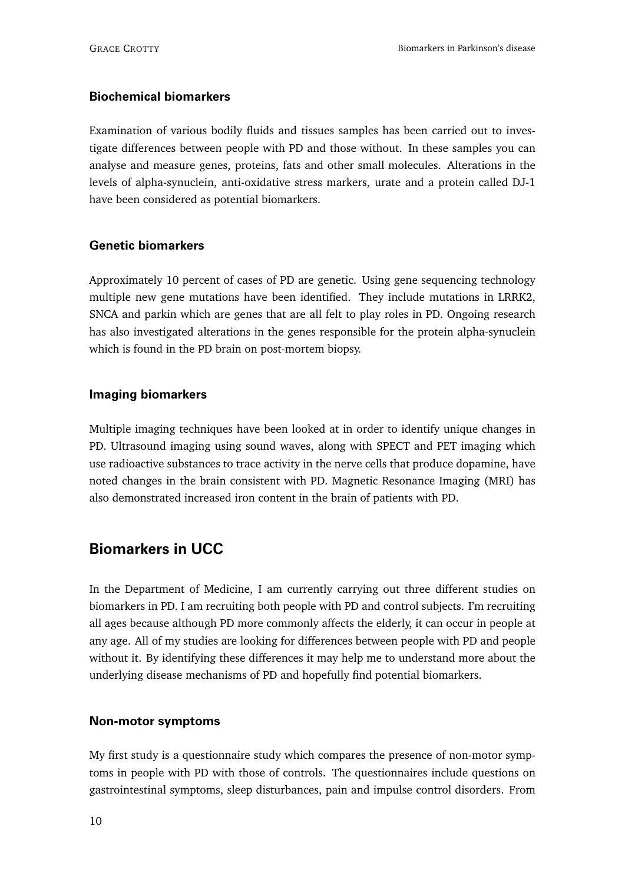### **Biochemical biomarkers**

Examination of various bodily fluids and tissues samples has been carried out to investigate differences between people with PD and those without. In these samples you can analyse and measure genes, proteins, fats and other small molecules. Alterations in the levels of alpha-synuclein, anti-oxidative stress markers, urate and a protein called DJ-1 have been considered as potential biomarkers.

# **Genetic biomarkers**

Approximately 10 percent of cases of PD are genetic. Using gene sequencing technology multiple new gene mutations have been identified. They include mutations in LRRK2, SNCA and parkin which are genes that are all felt to play roles in PD. Ongoing research has also investigated alterations in the genes responsible for the protein alpha-synuclein which is found in the PD brain on post-mortem biopsy.

# **Imaging biomarkers**

Multiple imaging techniques have been looked at in order to identify unique changes in PD. Ultrasound imaging using sound waves, along with SPECT and PET imaging which use radioactive substances to trace activity in the nerve cells that produce dopamine, have noted changes in the brain consistent with PD. Magnetic Resonance Imaging (MRI) has also demonstrated increased iron content in the brain of patients with PD.

# **Biomarkers in UCC**

In the Department of Medicine, I am currently carrying out three different studies on biomarkers in PD. I am recruiting both people with PD and control subjects. I'm recruiting all ages because although PD more commonly affects the elderly, it can occur in people at any age. All of my studies are looking for differences between people with PD and people without it. By identifying these differences it may help me to understand more about the underlying disease mechanisms of PD and hopefully find potential biomarkers.

### **Non-motor symptoms**

My first study is a questionnaire study which compares the presence of non-motor symptoms in people with PD with those of controls. The questionnaires include questions on gastrointestinal symptoms, sleep disturbances, pain and impulse control disorders. From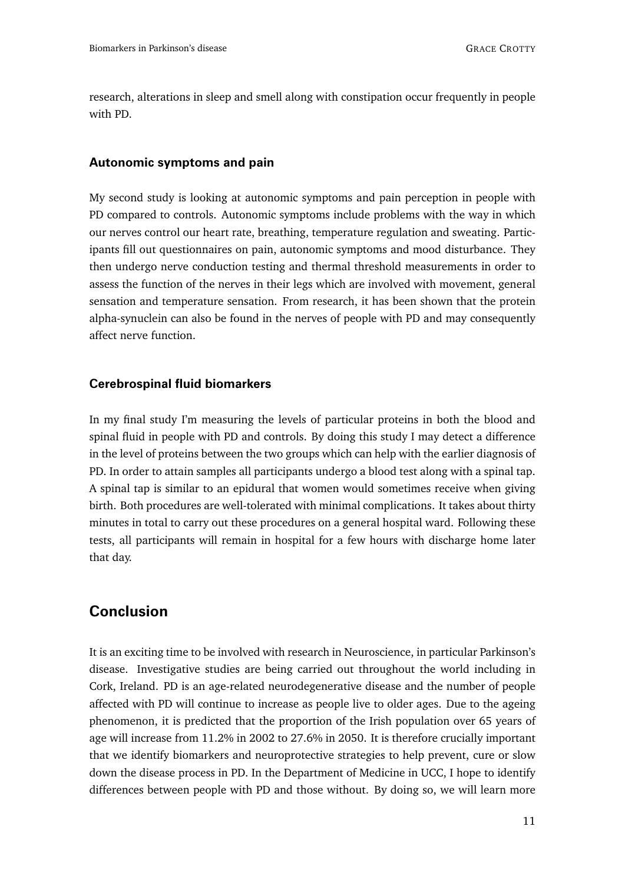research, alterations in sleep and smell along with constipation occur frequently in people with PD.

#### **Autonomic symptoms and pain**

My second study is looking at autonomic symptoms and pain perception in people with PD compared to controls. Autonomic symptoms include problems with the way in which our nerves control our heart rate, breathing, temperature regulation and sweating. Participants fill out questionnaires on pain, autonomic symptoms and mood disturbance. They then undergo nerve conduction testing and thermal threshold measurements in order to assess the function of the nerves in their legs which are involved with movement, general sensation and temperature sensation. From research, it has been shown that the protein alpha-synuclein can also be found in the nerves of people with PD and may consequently affect nerve function.

#### **Cerebrospinal fluid biomarkers**

In my final study I'm measuring the levels of particular proteins in both the blood and spinal fluid in people with PD and controls. By doing this study I may detect a difference in the level of proteins between the two groups which can help with the earlier diagnosis of PD. In order to attain samples all participants undergo a blood test along with a spinal tap. A spinal tap is similar to an epidural that women would sometimes receive when giving birth. Both procedures are well-tolerated with minimal complications. It takes about thirty minutes in total to carry out these procedures on a general hospital ward. Following these tests, all participants will remain in hospital for a few hours with discharge home later that day.

# **Conclusion**

It is an exciting time to be involved with research in Neuroscience, in particular Parkinson's disease. Investigative studies are being carried out throughout the world including in Cork, Ireland. PD is an age-related neurodegenerative disease and the number of people affected with PD will continue to increase as people live to older ages. Due to the ageing phenomenon, it is predicted that the proportion of the Irish population over 65 years of age will increase from 11.2% in 2002 to 27.6% in 2050. It is therefore crucially important that we identify biomarkers and neuroprotective strategies to help prevent, cure or slow down the disease process in PD. In the Department of Medicine in UCC, I hope to identify differences between people with PD and those without. By doing so, we will learn more